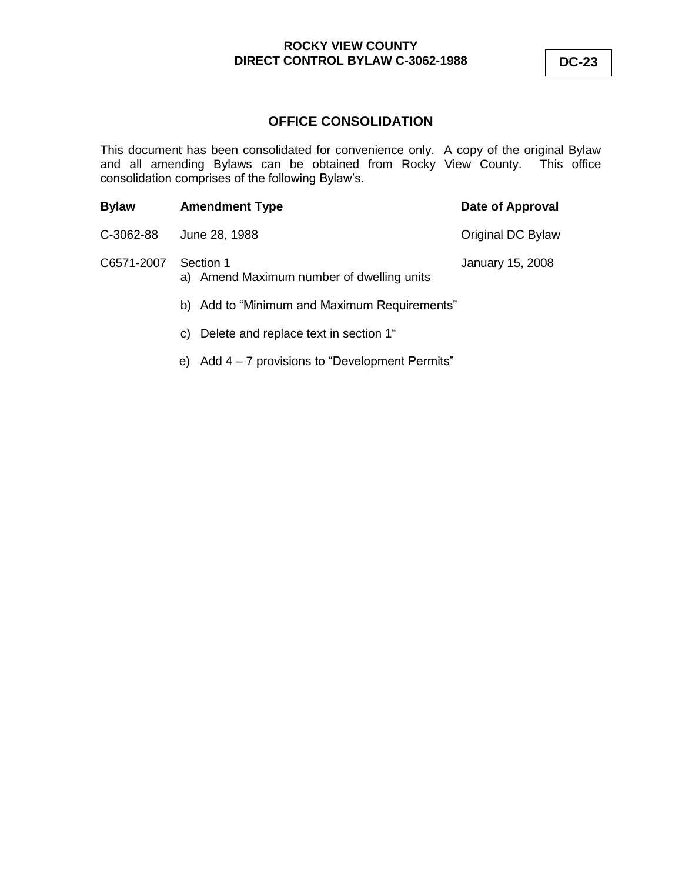# **ROCKY VIEW COUNTY DIRECT CONTROL BYLAW C-3062-1988 DC-23**

# **OFFICE CONSOLIDATION**

This document has been consolidated for convenience only. A copy of the original Bylaw and all amending Bylaws can be obtained from Rocky View County. This office consolidation comprises of the following Bylaw's.

| <b>Bylaw</b> | <b>Amendment Type</b>                                  | Date of Approval  |
|--------------|--------------------------------------------------------|-------------------|
| C-3062-88    | June 28, 1988                                          | Original DC Bylaw |
| C6571-2007   | Section 1<br>a) Amend Maximum number of dwelling units | January 15, 2008  |
|              | b) Add to "Minimum and Maximum Requirements"           |                   |
|              | Delete and replace text in section 1"<br>C)            |                   |

e) Add 4 – 7 provisions to "Development Permits"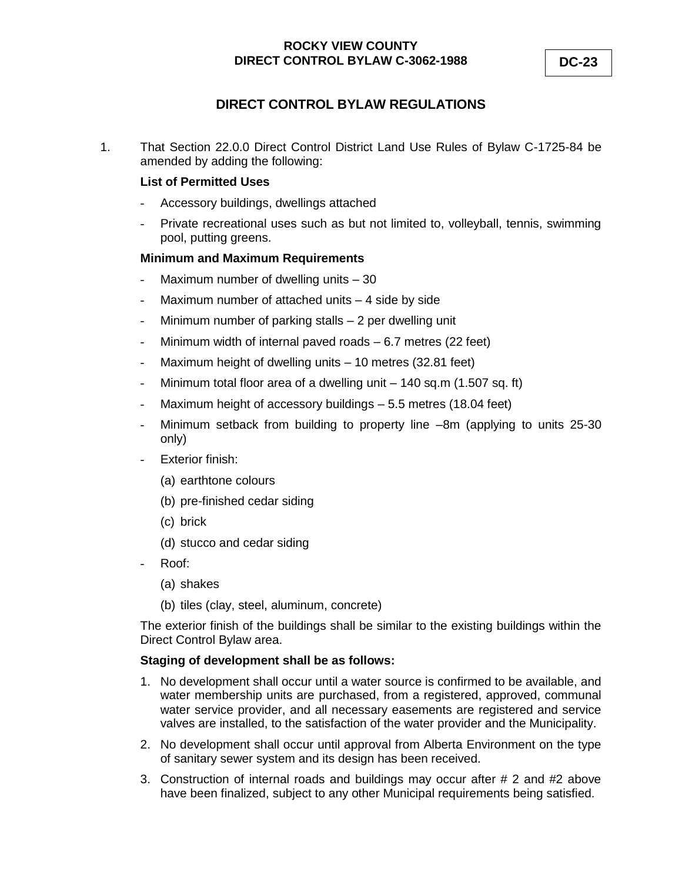# **DIRECT CONTROL BYLAW REGULATIONS**

1. That Section 22.0.0 Direct Control District Land Use Rules of Bylaw C-1725-84 be amended by adding the following:

### **List of Permitted Uses**

- Accessory buildings, dwellings attached
- Private recreational uses such as but not limited to, volleyball, tennis, swimming pool, putting greens.

# **Minimum and Maximum Requirements**

- Maximum number of dwelling units 30
- Maximum number of attached units 4 side by side
- Minimum number of parking stalls 2 per dwelling unit
- Minimum width of internal paved roads  $-6.7$  metres (22 feet)
- Maximum height of dwelling units 10 metres (32.81 feet)
- Minimum total floor area of a dwelling unit 140 sq.m (1.507 sq. ft)
- Maximum height of accessory buildings 5.5 metres (18.04 feet)
- Minimum setback from building to property line –8m (applying to units 25-30 only)
- Exterior finish:
	- (a) earthtone colours
	- (b) pre-finished cedar siding
	- (c) brick
	- (d) stucco and cedar siding
- Roof:
	- (a) shakes
	- (b) tiles (clay, steel, aluminum, concrete)

The exterior finish of the buildings shall be similar to the existing buildings within the Direct Control Bylaw area.

#### **Staging of development shall be as follows:**

- 1. No development shall occur until a water source is confirmed to be available, and water membership units are purchased, from a registered, approved, communal water service provider, and all necessary easements are registered and service valves are installed, to the satisfaction of the water provider and the Municipality.
- 2. No development shall occur until approval from Alberta Environment on the type of sanitary sewer system and its design has been received.
- 3. Construction of internal roads and buildings may occur after # 2 and #2 above have been finalized, subject to any other Municipal requirements being satisfied.